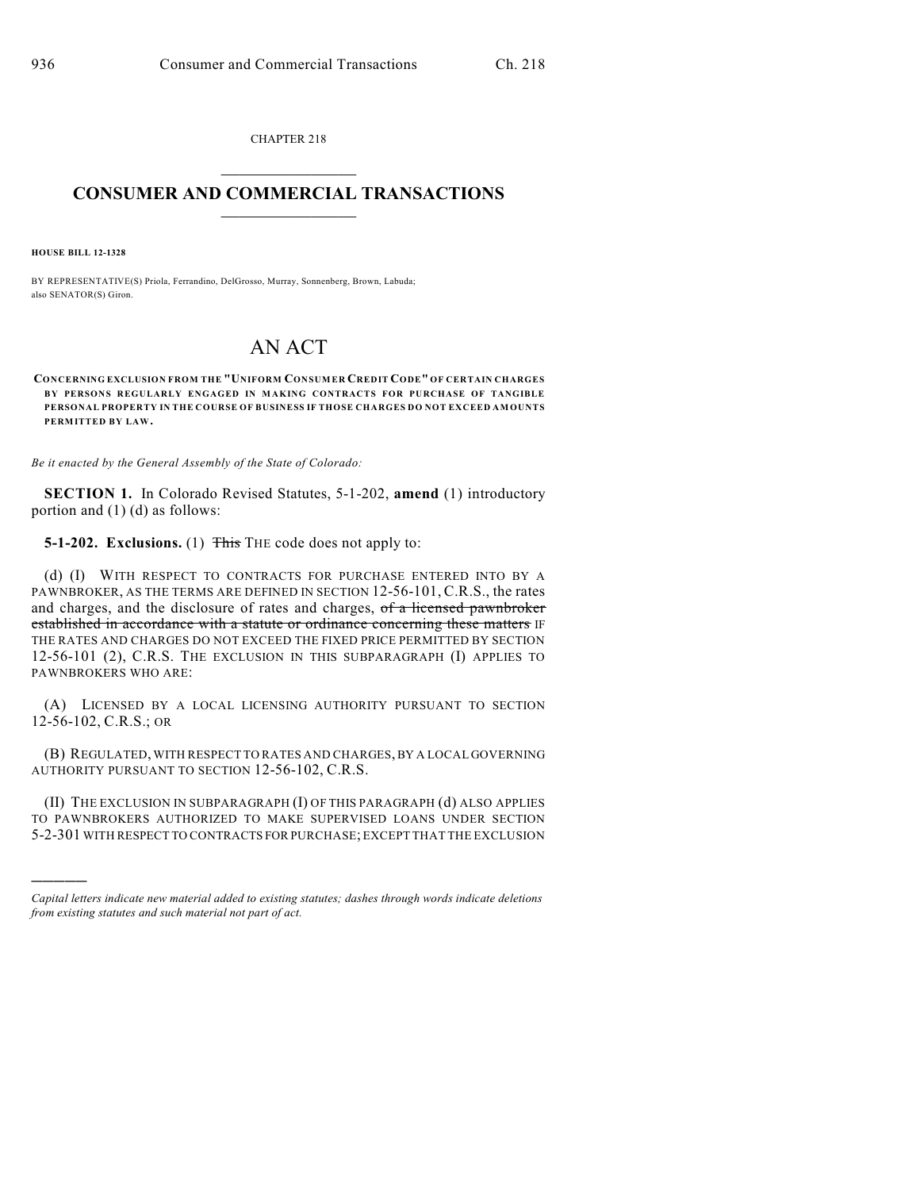CHAPTER 218  $\mathcal{L}_\text{max}$  . The set of the set of the set of the set of the set of the set of the set of the set of the set of the set of the set of the set of the set of the set of the set of the set of the set of the set of the set

## **CONSUMER AND COMMERCIAL TRANSACTIONS**  $\frac{1}{2}$  ,  $\frac{1}{2}$  ,  $\frac{1}{2}$  ,  $\frac{1}{2}$  ,  $\frac{1}{2}$  ,  $\frac{1}{2}$

**HOUSE BILL 12-1328**

)))))

BY REPRESENTATIVE(S) Priola, Ferrandino, DelGrosso, Murray, Sonnenberg, Brown, Labuda; also SENATOR(S) Giron.

## AN ACT

**CONCERNING EXCLUSION FROM THE "UNIFORM CONSUMER CREDIT CODE" OF CERTAIN CHARGES BY PERSONS REGULARLY ENGAGED IN MAKING CONTRACTS FOR PURCHASE OF TANGIBLE PERSONAL PROPERTY IN THE COURSE OF BUSINESS IF THOSE CHARGES DO NOT EXCEED AMOUNTS PERMITTED BY LAW.**

*Be it enacted by the General Assembly of the State of Colorado:*

**SECTION 1.** In Colorado Revised Statutes, 5-1-202, **amend** (1) introductory portion and (1) (d) as follows:

**5-1-202. Exclusions.** (1) This THE code does not apply to:

(d) (I) WITH RESPECT TO CONTRACTS FOR PURCHASE ENTERED INTO BY A PAWNBROKER, AS THE TERMS ARE DEFINED IN SECTION 12-56-101, C.R.S., the rates and charges, and the disclosure of rates and charges, of a licensed pawnbroker established in accordance with a statute or ordinance concerning these matters IF THE RATES AND CHARGES DO NOT EXCEED THE FIXED PRICE PERMITTED BY SECTION 12-56-101 (2), C.R.S. THE EXCLUSION IN THIS SUBPARAGRAPH (I) APPLIES TO PAWNBROKERS WHO ARE:

(A) LICENSED BY A LOCAL LICENSING AUTHORITY PURSUANT TO SECTION 12-56-102, C.R.S.; OR

(B) REGULATED, WITH RESPECT TO RATES AND CHARGES, BY A LOCAL GOVERNING AUTHORITY PURSUANT TO SECTION 12-56-102, C.R.S.

(II) THE EXCLUSION IN SUBPARAGRAPH (I) OF THIS PARAGRAPH (d) ALSO APPLIES TO PAWNBROKERS AUTHORIZED TO MAKE SUPERVISED LOANS UNDER SECTION 5-2-301 WITH RESPECT TO CONTRACTS FOR PURCHASE; EXCEPT THAT THE EXCLUSION

*Capital letters indicate new material added to existing statutes; dashes through words indicate deletions from existing statutes and such material not part of act.*